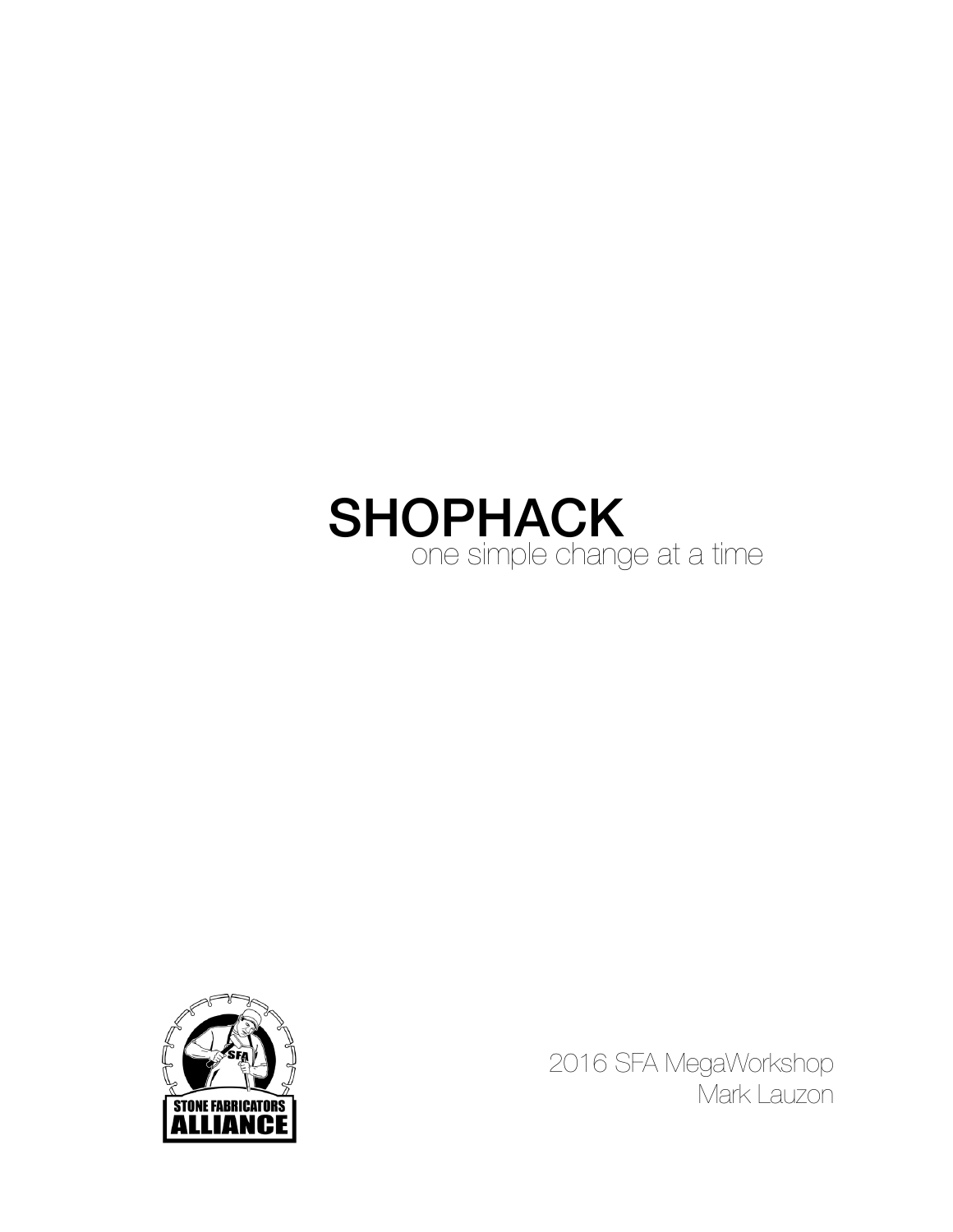# **SHOPHACK**<br>One simple change at a time



2016 SFA MegaWorkshop Mark Lauzon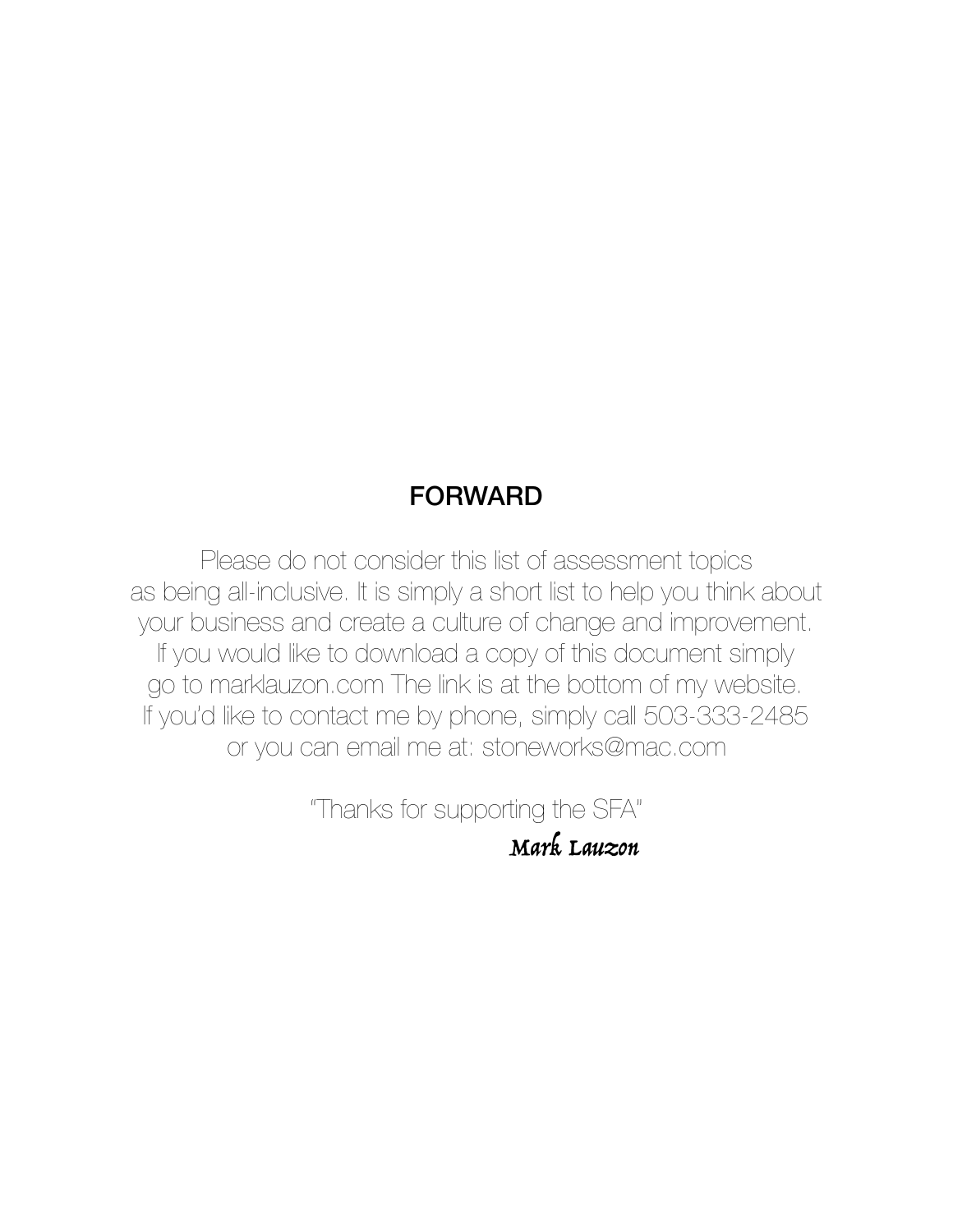#### FORWARD

Please do not consider this list of assessment topics as being all-inclusive. It is simply a short list to help you think about your business and create a culture of change and improvement. If you would like to download a copy of this document simply go to [marklauzon.com](http://marklauzon.com) The link is at the bottom of my website. If you'd like to contact me by phone, simply call 503-333-2485 or you can email me at: stoneworks@mac.com

> "Thanks for supporting the SFA" Mark Lauzon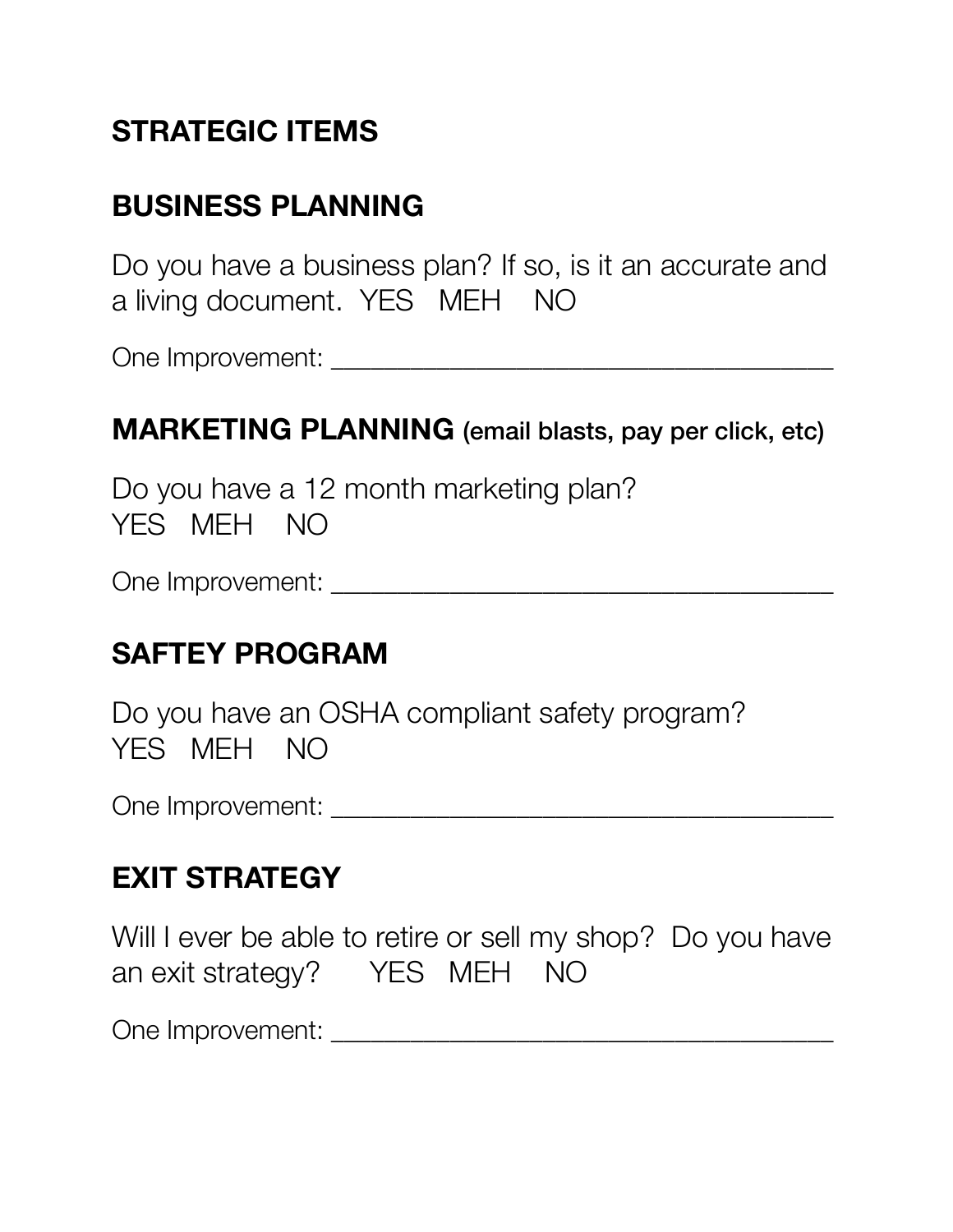# **STRATEGIC ITEMS**

# **BUSINESS PLANNING**

Do you have a business plan? If so, is it an accurate and a living document. YES MEH NO

One Improvement: \_\_\_\_\_\_\_\_\_\_\_\_\_\_\_\_\_\_\_\_\_\_\_\_\_\_\_\_\_\_\_\_\_\_\_\_\_\_

#### **MARKETING PLANNING** (email blasts, pay per click, etc)

Do you have a 12 month marketing plan? YES MEH NO

One Improvement: \_\_\_\_\_\_\_\_\_\_\_\_\_\_\_\_\_\_\_\_\_\_\_\_\_\_\_\_\_\_\_\_\_\_\_\_\_\_

#### **SAFTEY PROGRAM**

Do you have an OSHA compliant safety program? YES MEH NO

One Improvement: \_\_\_\_\_\_\_\_\_\_\_\_\_\_\_\_\_\_\_\_\_\_\_\_\_\_\_\_\_\_\_\_\_\_\_\_\_\_

#### **EXIT STRATEGY**

Will I ever be able to retire or sell my shop? Do you have an exit strategy? YES MEH NO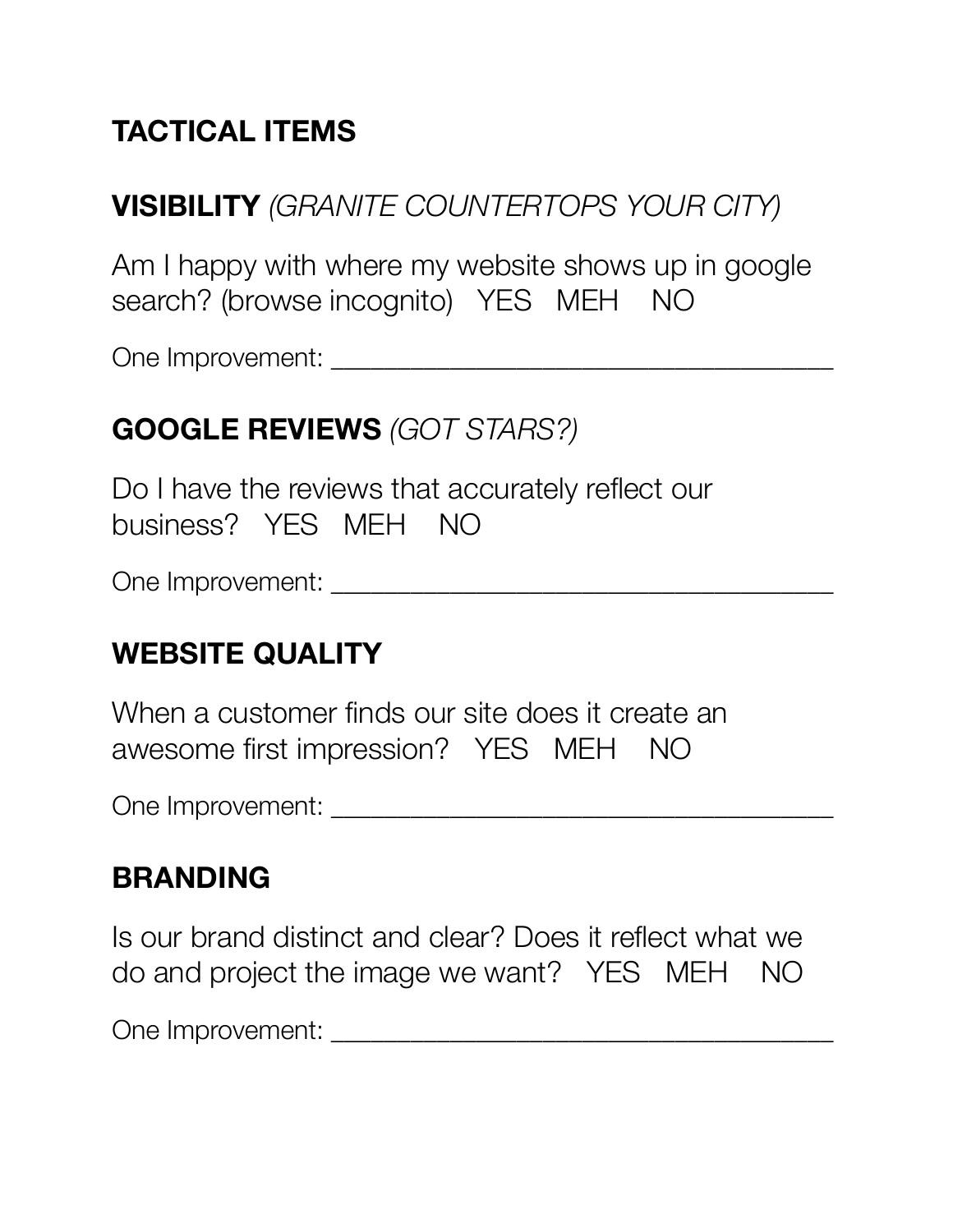# **TACTICAL ITEMS**

#### **VISIBILITY** *(GRANITE COUNTERTOPS YOUR CITY)*

Am I happy with where my website shows up in google search? (browse incognito) YES MEH NO

One Improvement: \_\_\_\_\_\_\_\_\_\_\_\_\_\_\_\_\_\_\_\_\_\_\_\_\_\_\_\_\_\_\_\_\_\_\_\_\_\_

#### **GOOGLE REVIEWS** *(GOT STARS?)*

Do I have the reviews that accurately reflect our business? YES MEH NO

One Improvement: \_\_\_\_\_\_\_\_\_\_\_\_\_\_\_\_\_\_\_\_\_\_\_\_\_\_\_\_\_\_\_\_\_\_\_\_\_\_

#### **WEBSITE QUALITY**

When a customer finds our site does it create an awesome first impression? YES MEH NO

One Improvement: \_\_\_\_\_\_\_\_\_\_\_\_\_\_\_\_\_\_\_\_\_\_\_\_\_\_\_\_\_\_\_\_\_\_\_\_\_\_

#### **BRANDING**

Is our brand distinct and clear? Does it reflect what we do and project the image we want? YES MEH NO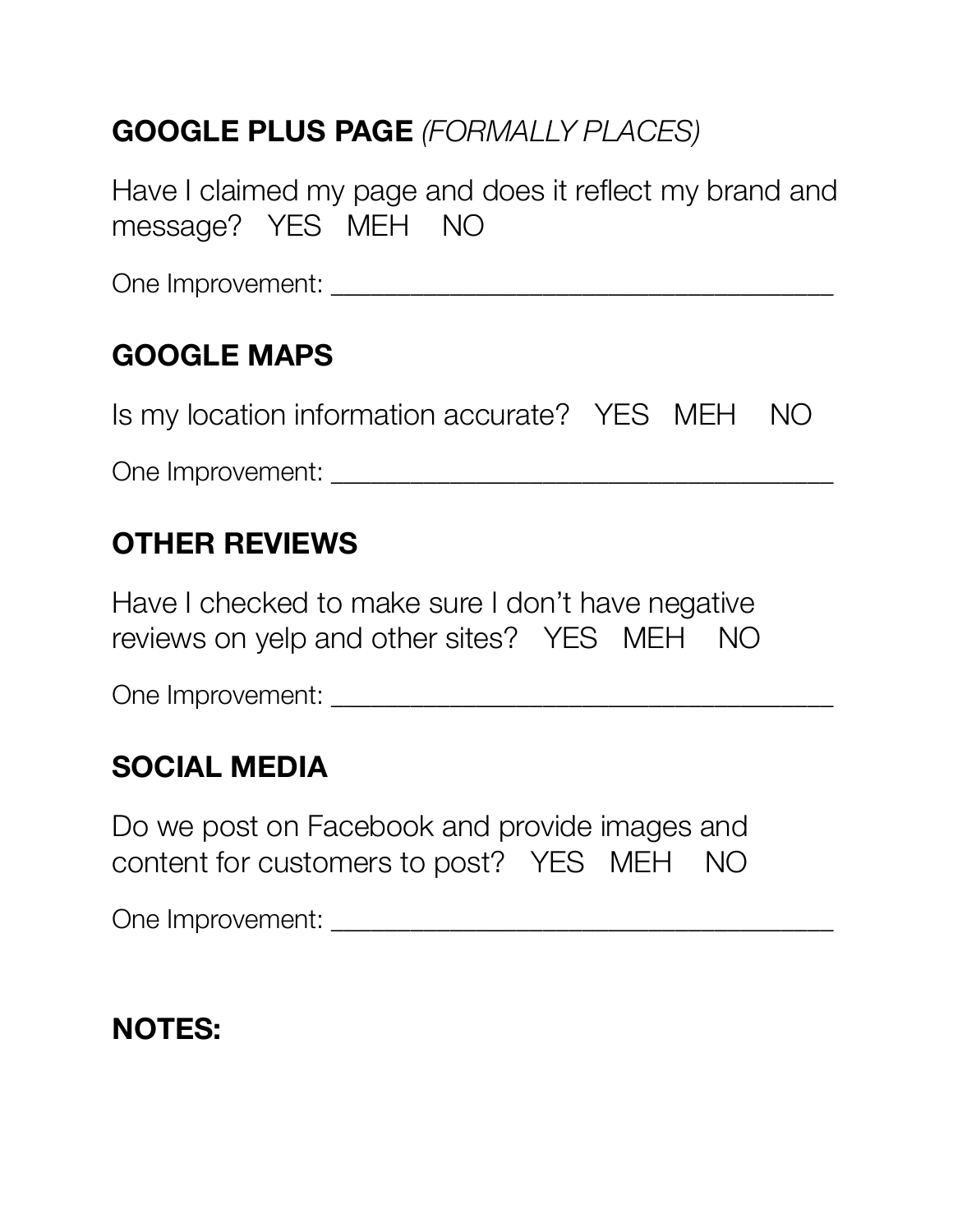# **GOOGLE PLUS PAGE** *(FORMALLY PLACES)*

Have I claimed my page and does it reflect my brand and message? YES MEH NO

One Improvement: \_\_\_\_\_\_\_\_\_\_\_\_\_\_\_\_\_\_\_\_\_\_\_\_\_\_\_\_\_\_\_\_\_\_\_\_\_\_

# **GOOGLE MAPS**

Is my location information accurate? YES MEH NO

One Improvement: \_\_\_\_\_\_\_\_\_\_\_\_\_\_\_\_\_\_\_\_\_\_\_\_\_\_\_\_\_\_\_\_\_\_\_\_\_\_

#### **OTHER REVIEWS**

Have I checked to make sure I don't have negative reviews on yelp and other sites? YES MEH NO

One Improvement: \_\_\_\_\_\_\_\_\_\_\_\_\_\_\_\_\_\_\_\_\_\_\_\_\_\_\_\_\_\_\_\_\_\_\_\_\_\_

### **SOCIAL MEDIA**

Do we post on Facebook and provide images and content for customers to post? YES MEH NO

One Improvement: \_\_\_\_\_\_\_\_\_\_\_\_\_\_\_\_\_\_\_\_\_\_\_\_\_\_\_\_\_\_\_\_\_\_\_\_\_\_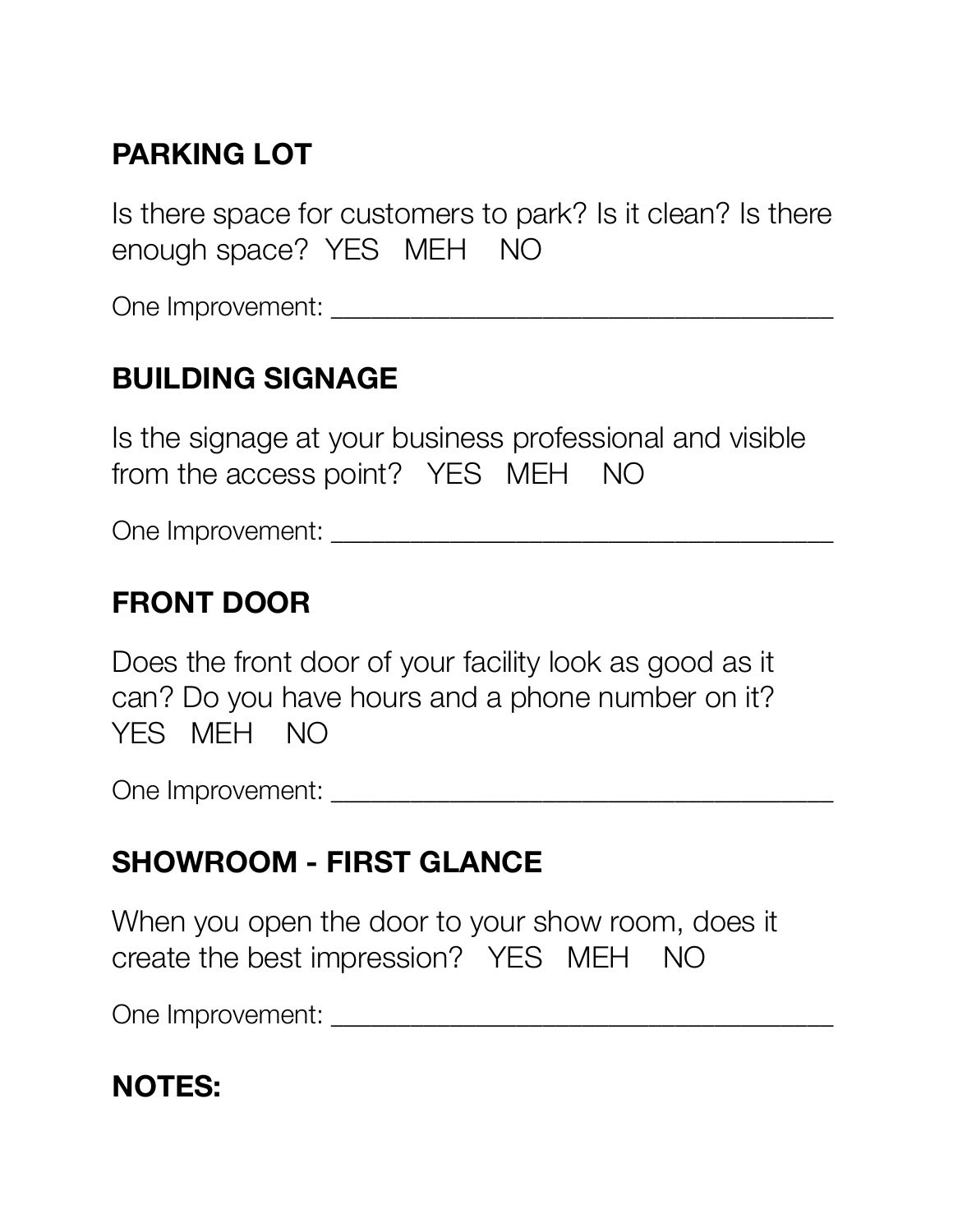# **PARKING LOT**

Is there space for customers to park? Is it clean? Is there enough space? YES MEH NO

One Improvement:  $\Box$ 

#### **BUILDING SIGNAGE**

Is the signage at your business professional and visible from the access point? YES MEH NO

One Improvement: \_\_\_\_\_\_\_\_\_\_\_\_\_\_\_\_\_\_\_\_\_\_\_\_\_\_\_\_\_\_\_\_\_\_\_\_\_\_

#### **FRONT DOOR**

Does the front door of your facility look as good as it can? Do you have hours and a phone number on it? YES MEH NO

One Improvement: \_\_\_\_\_\_\_\_\_\_\_\_\_\_\_\_\_\_\_\_\_\_\_\_\_\_\_\_\_\_\_\_\_\_\_\_\_\_

#### **SHOWROOM - FIRST GLANCE**

When you open the door to your show room, does it create the best impression? YES MEH NO

One Improvement: \_\_\_\_\_\_\_\_\_\_\_\_\_\_\_\_\_\_\_\_\_\_\_\_\_\_\_\_\_\_\_\_\_\_\_\_\_\_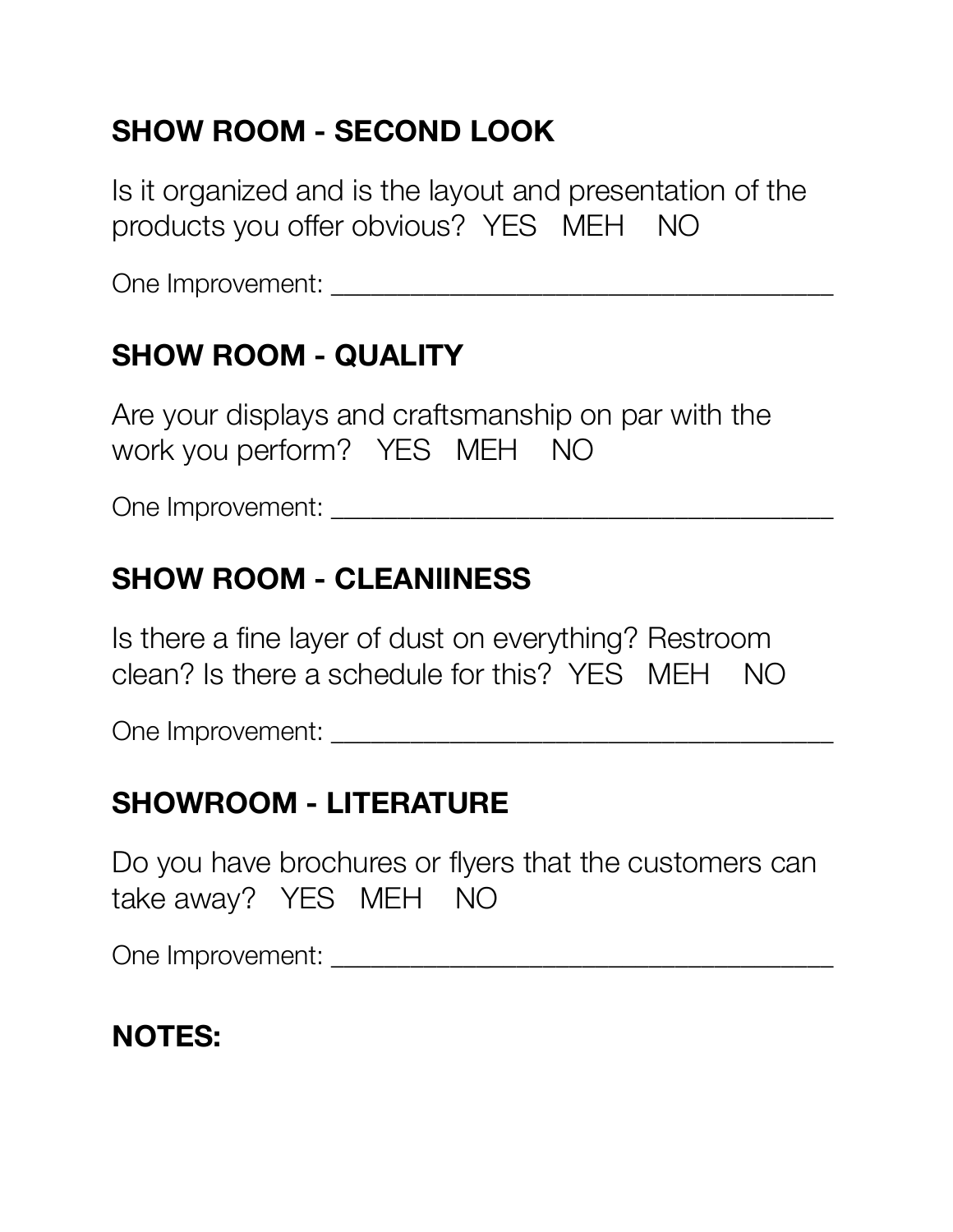# **SHOW ROOM - SECOND LOOK**

Is it organized and is the layout and presentation of the products you offer obvious? YES MEH NO

One Improvement: \_\_\_\_\_\_\_\_\_\_\_\_\_\_\_\_\_\_\_\_\_\_\_\_\_\_\_\_\_\_\_\_\_\_\_\_\_\_

# **SHOW ROOM - QUALITY**

Are your displays and craftsmanship on par with the work you perform? YES MEH NO

One Improvement: \_\_\_\_\_\_\_\_\_\_\_\_\_\_\_\_\_\_\_\_\_\_\_\_\_\_\_\_\_\_\_\_\_\_\_\_\_\_

#### **SHOW ROOM - CLEANlINESS**

Is there a fine layer of dust on everything? Restroom clean? Is there a schedule for this? YES MEH NO

One Improvement: \_\_\_\_\_\_\_\_\_\_\_\_\_\_\_\_\_\_\_\_\_\_\_\_\_\_\_\_\_\_\_\_\_\_\_\_\_\_

#### **SHOWROOM - LITERATURE**

Do you have brochures or flyers that the customers can take away? YES MEH NO

One Improvement:  $\Box$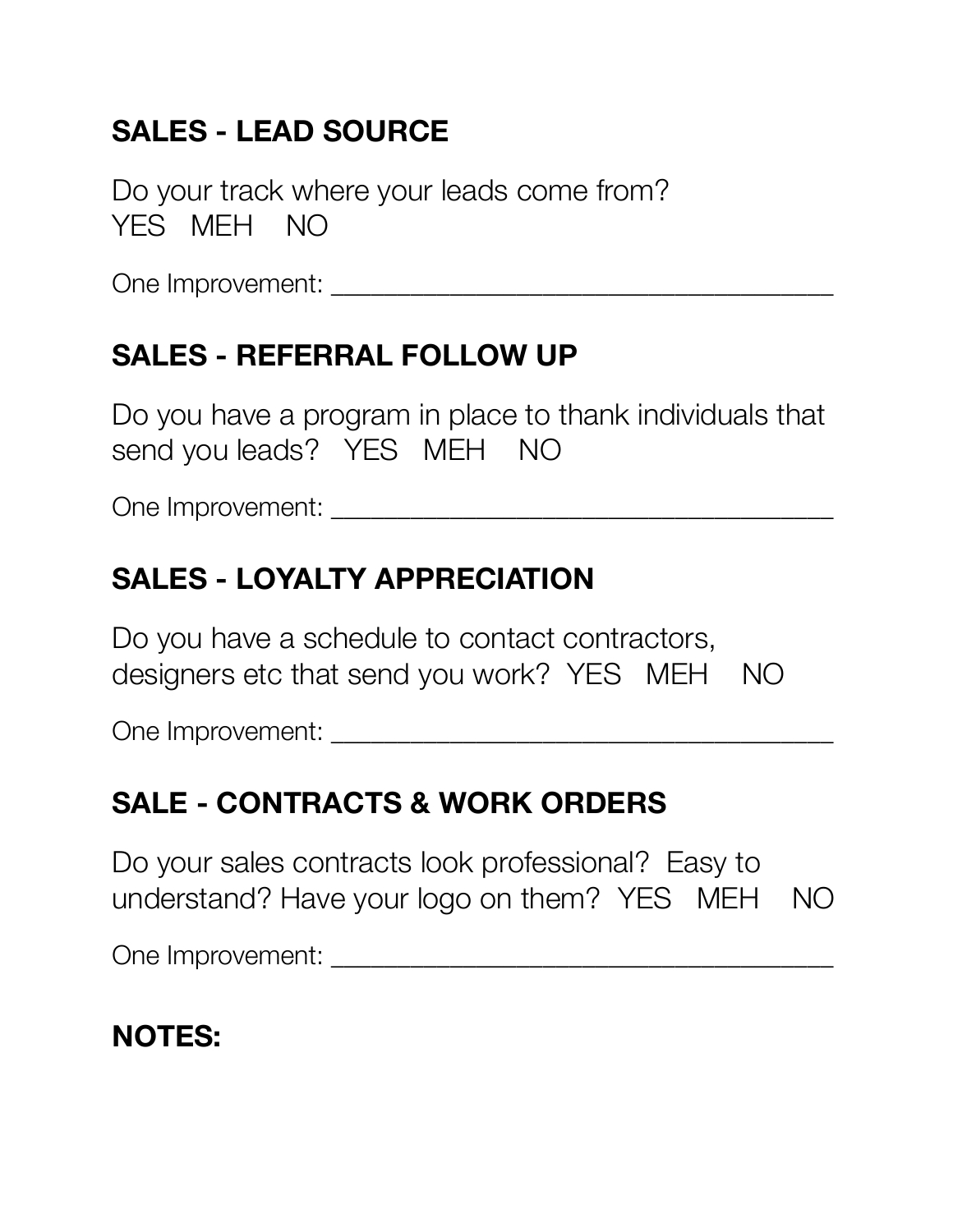# **SALES - LEAD SOURCE**

Do your track where your leads come from? YES MEH NO

One Improvement: \_\_\_\_\_\_\_\_\_\_\_\_\_\_\_\_\_\_\_\_\_\_\_\_\_\_\_\_\_\_\_\_\_\_\_\_\_\_

# **SALES - REFERRAL FOLLOW UP**

Do you have a program in place to thank individuals that send you leads? YES MEH NO

One Improvement: \_\_\_\_\_\_\_\_\_\_\_\_\_\_\_\_\_\_\_\_\_\_\_\_\_\_\_\_\_\_\_\_\_\_\_\_\_\_

# **SALES - LOYALTY APPRECIATION**

Do you have a schedule to contact contractors, designers etc that send you work? YES MEH NO

One Improvement: \_\_\_\_\_\_\_\_\_\_\_\_\_\_\_\_\_\_\_\_\_\_\_\_\_\_\_\_\_\_\_\_\_\_\_\_\_\_

### **SALE - CONTRACTS & WORK ORDERS**

Do your sales contracts look professional? Easy to understand? Have your logo on them? YES MEH NO

One Improvement:  $\Box$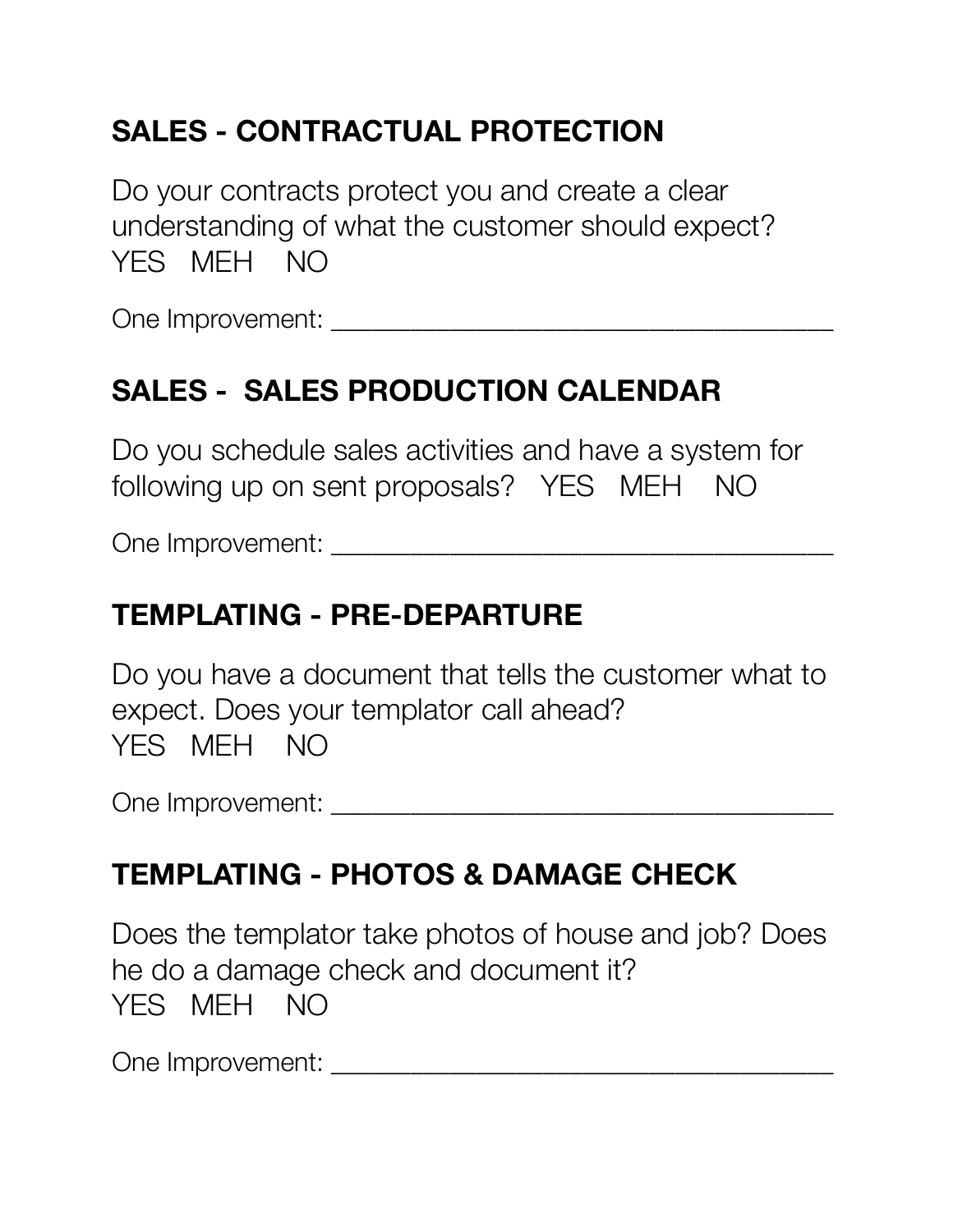# **SALES - CONTRACTUAL PROTECTION**

Do your contracts protect you and create a clear understanding of what the customer should expect? YES MEH NO

One Improvement:  $\Box$ 

# **SALES - SALES PRODUCTION CALENDAR**

Do you schedule sales activities and have a system for following up on sent proposals? YES MEH NO

One Improvement: \_\_\_\_\_\_\_\_\_\_\_\_\_\_\_\_\_\_\_\_\_\_\_\_\_\_\_\_\_\_\_\_\_\_\_\_\_\_

# **TEMPLATING - PRE-DEPARTURE**

Do you have a document that tells the customer what to expect. Does your templator call ahead? YES MEH NO

One Improvement: \_\_\_\_\_\_\_\_\_\_\_\_\_\_\_\_\_\_\_\_\_\_\_\_\_\_\_\_\_\_\_\_\_\_\_\_\_\_

### **TEMPLATING - PHOTOS & DAMAGE CHECK**

Does the templator take photos of house and job? Does he do a damage check and document it? YES MEH NO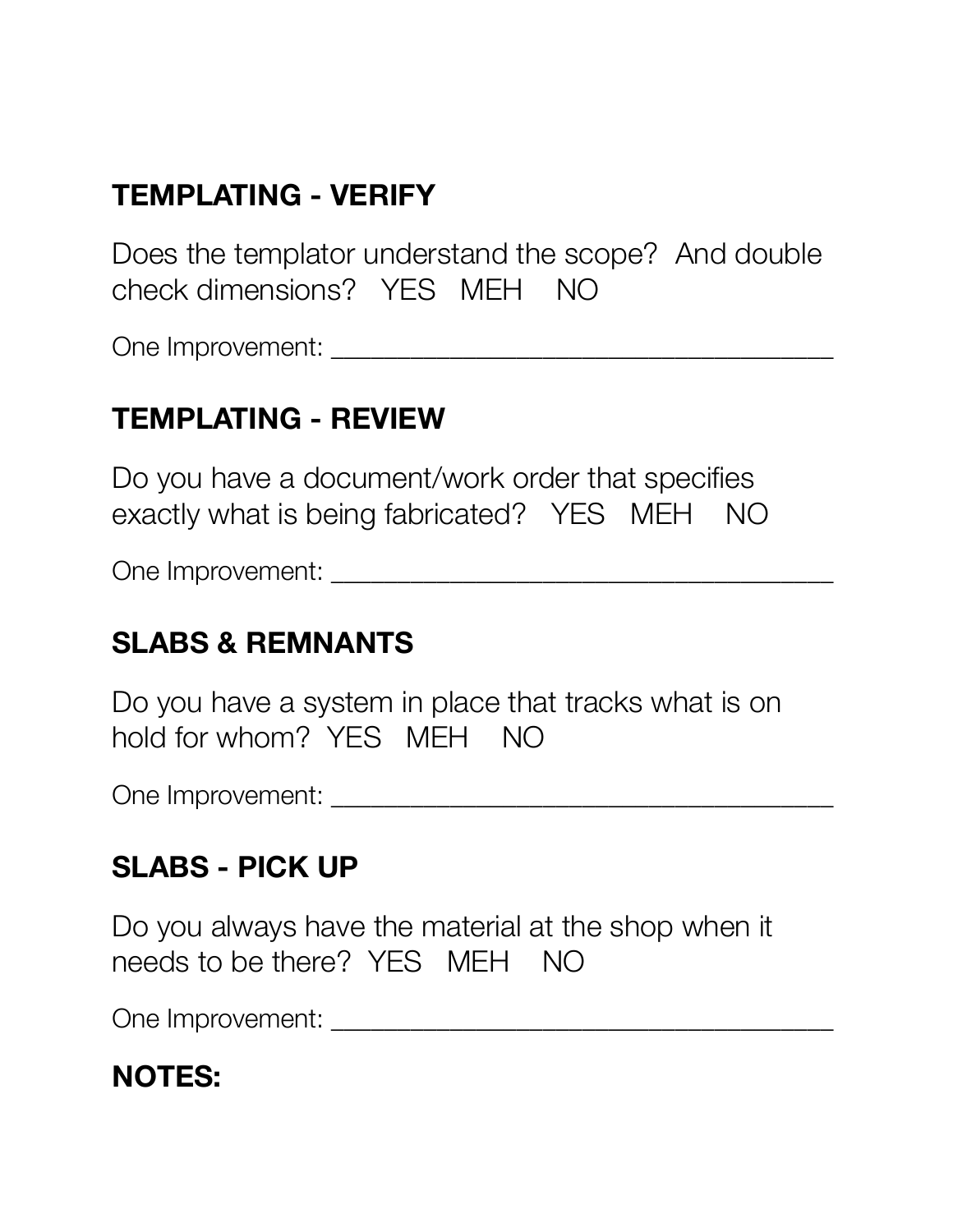# **TEMPLATING - VERIFY**

Does the templator understand the scope? And double check dimensions? YES MEH NO

One Improvement: \_\_\_\_\_\_\_\_\_\_\_\_\_\_\_\_\_\_\_\_\_\_\_\_\_\_\_\_\_\_\_\_\_\_\_\_\_\_

#### **TEMPLATING - REVIEW**

Do you have a document/work order that specifies exactly what is being fabricated? YES MEH NO

One Improvement:

#### **SLABS & REMNANTS**

Do you have a system in place that tracks what is on hold for whom? YES MEH NO

One Improvement: \_\_\_\_\_\_\_\_\_\_\_\_\_\_\_\_\_\_\_\_\_\_\_\_\_\_\_\_\_\_\_\_\_\_\_\_\_\_

### **SLABS - PICK UP**

Do you always have the material at the shop when it needs to be there? YES MEH NO

One Improvement: \_\_\_\_\_\_\_\_\_\_\_\_\_\_\_\_\_\_\_\_\_\_\_\_\_\_\_\_\_\_\_\_\_\_\_\_\_\_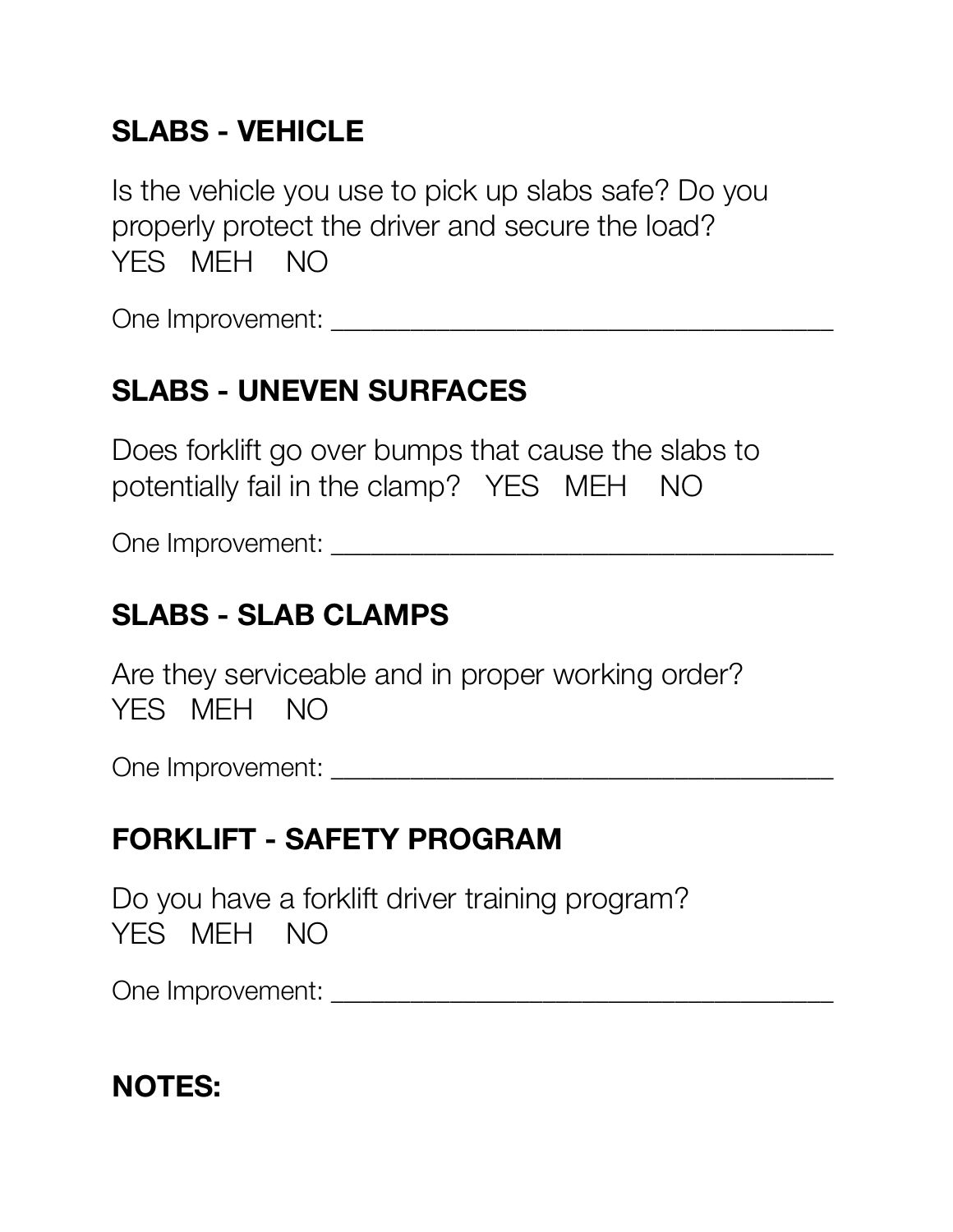# **SLABS - VEHICLE**

Is the vehicle you use to pick up slabs safe? Do you properly protect the driver and secure the load? YES MEH NO

One Improvement: \_\_\_\_\_\_\_\_\_\_\_\_\_\_\_\_\_\_\_\_\_\_\_\_\_\_\_\_\_\_\_\_\_\_\_\_\_\_

# **SLABS - UNEVEN SURFACES**

Does forklift go over bumps that cause the slabs to potentially fail in the clamp? YES MEH NO

One Improvement: \_\_\_\_\_\_\_\_\_\_\_\_\_\_\_\_\_\_\_\_\_\_\_\_\_\_\_\_\_\_\_\_\_\_\_\_\_\_

# **SLABS - SLAB CLAMPS**

Are they serviceable and in proper working order? YES MEH NO

One Improvement: \_\_\_\_\_\_\_\_\_\_\_\_\_\_\_\_\_\_\_\_\_\_\_\_\_\_\_\_\_\_\_\_\_\_\_\_\_\_

# **FORKLIFT - SAFETY PROGRAM**

Do you have a forklift driver training program? YES MEH NO

One Improvement:  $\Box$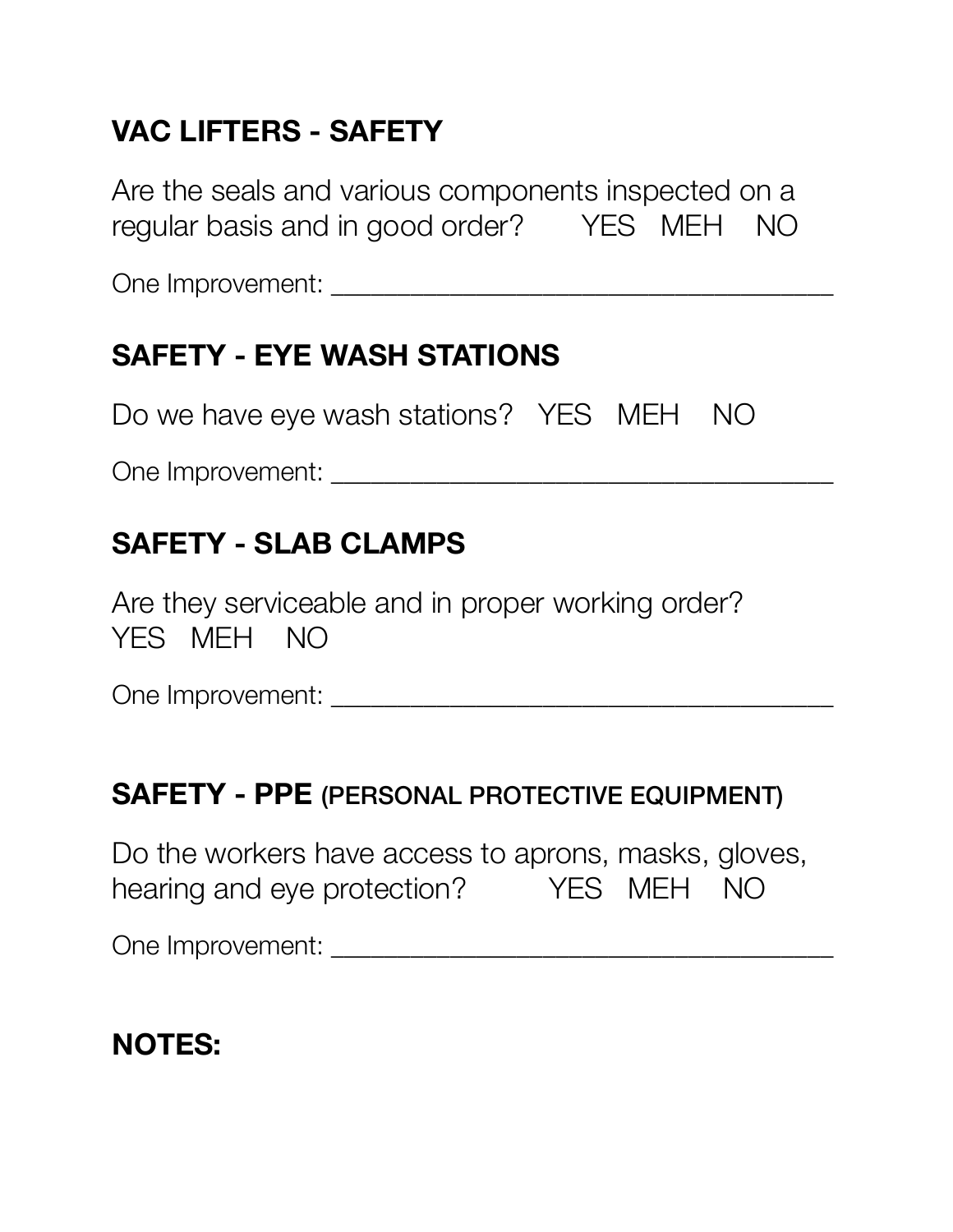# **VAC LIFTERS - SAFETY**

Are the seals and various components inspected on a regular basis and in good order? YES MEH NO

One Improvement: \_\_\_\_\_\_\_\_\_\_\_\_\_\_\_\_\_\_\_\_\_\_\_\_\_\_\_\_\_\_\_\_\_\_\_\_\_\_

### **SAFETY - EYE WASH STATIONS**

Do we have eye wash stations? YES MEH NO

One Improvement: \_\_\_\_\_\_\_\_\_\_\_\_\_\_\_\_\_\_\_\_\_\_\_\_\_\_\_\_\_\_\_\_\_\_\_\_\_\_

#### **SAFETY - SLAB CLAMPS**

Are they serviceable and in proper working order? YES MEH NO

One Improvement: \_\_\_\_\_\_\_\_\_\_\_\_\_\_\_\_\_\_\_\_\_\_\_\_\_\_\_\_\_\_\_\_\_\_\_\_\_\_

#### **SAFETY - PPE** (PERSONAL PROTECTIVE EQUIPMENT)

Do the workers have access to aprons, masks, gloves, hearing and eye protection? YES MEH NO

One Improvement: \_\_\_\_\_\_\_\_\_\_\_\_\_\_\_\_\_\_\_\_\_\_\_\_\_\_\_\_\_\_\_\_\_\_\_\_\_\_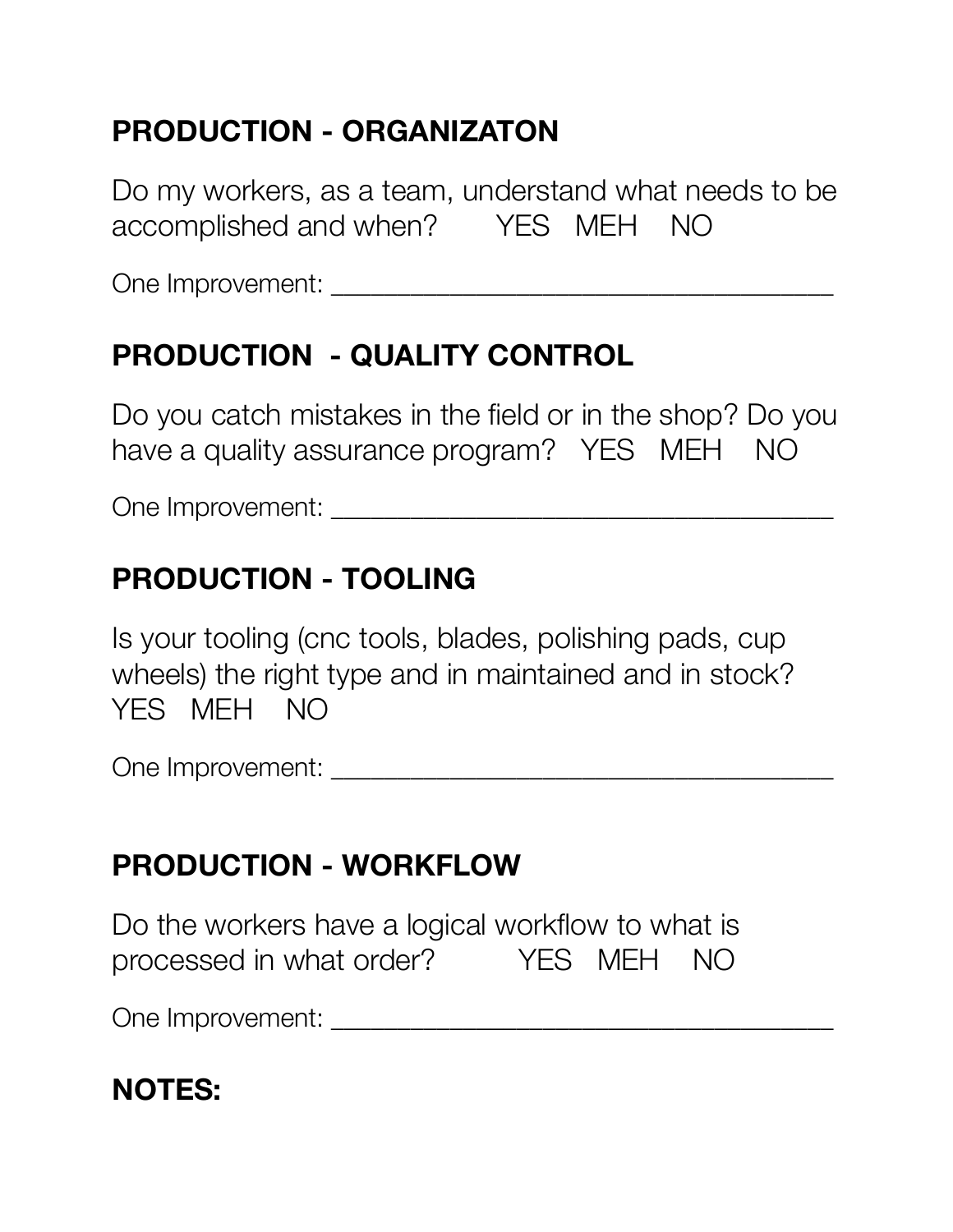# **PRODUCTION - ORGANIZATON**

Do my workers, as a team, understand what needs to be accomplished and when? YES MEH NO

One Improvement: \_\_\_\_\_\_\_\_\_\_\_\_\_\_\_\_\_\_\_\_\_\_\_\_\_\_\_\_\_\_\_\_\_\_\_\_\_\_

# **PRODUCTION - QUALITY CONTROL**

Do you catch mistakes in the field or in the shop? Do you have a quality assurance program? YES MEH NO

One Improvement: \_\_\_\_\_\_\_\_\_\_\_\_\_\_\_\_\_\_\_\_\_\_\_\_\_\_\_\_\_\_\_\_\_\_\_\_\_\_

# **PRODUCTION - TOOLING**

Is your tooling (cnc tools, blades, polishing pads, cup wheels) the right type and in maintained and in stock? YES MEH NO

One Improvement: \_\_\_\_\_\_\_\_\_\_\_\_\_\_\_\_\_\_\_\_\_\_\_\_\_\_\_\_\_\_\_\_\_\_\_\_\_\_

# **PRODUCTION - WORKFLOW**

Do the workers have a logical workflow to what is processed in what order? YES MEH NO

One Improvement: \_\_\_\_\_\_\_\_\_\_\_\_\_\_\_\_\_\_\_\_\_\_\_\_\_\_\_\_\_\_\_\_\_\_\_\_\_\_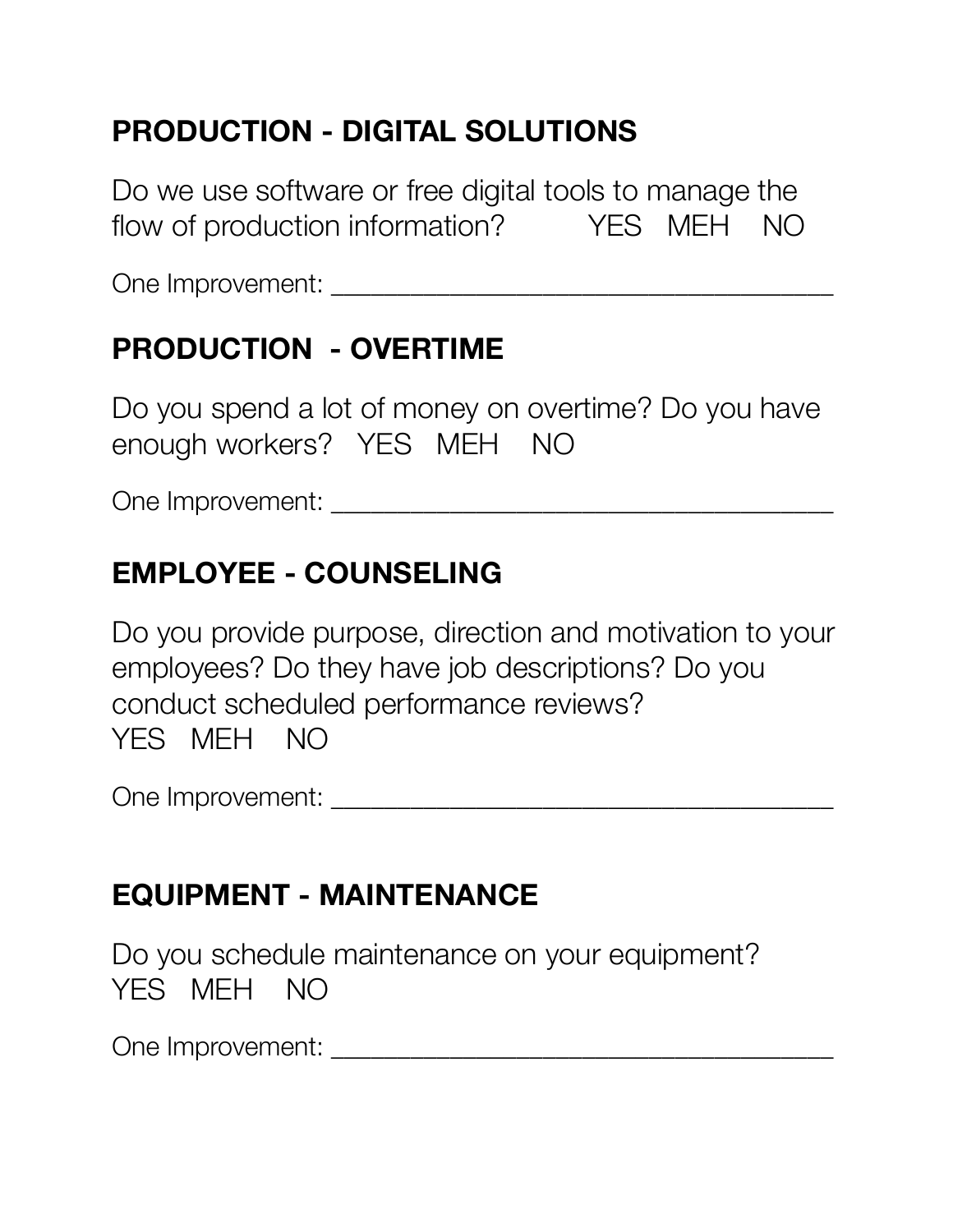# **PRODUCTION - DIGITAL SOLUTIONS**

Do we use software or free digital tools to manage the flow of production information? YES MEH NO

One Improvement: \_\_\_\_\_\_\_\_\_\_\_\_\_\_\_\_\_\_\_\_\_\_\_\_\_\_\_\_\_\_\_\_\_\_\_\_\_\_

# **PRODUCTION - OVERTIME**

Do you spend a lot of money on overtime? Do you have enough workers? YES MEH NO

One Improvement: \_\_\_\_\_\_\_\_\_\_\_\_\_\_\_\_\_\_\_\_\_\_\_\_\_\_\_\_\_\_\_\_\_\_\_\_\_\_

#### **EMPLOYEE - COUNSELING**

Do you provide purpose, direction and motivation to your employees? Do they have job descriptions? Do you conduct scheduled performance reviews? YES MEH NO

One Improvement: \_\_\_\_\_\_\_\_\_\_\_\_\_\_\_\_\_\_\_\_\_\_\_\_\_\_\_\_\_\_\_\_\_\_\_\_\_\_

### **EQUIPMENT - MAINTENANCE**

Do you schedule maintenance on your equipment? YES MEH NO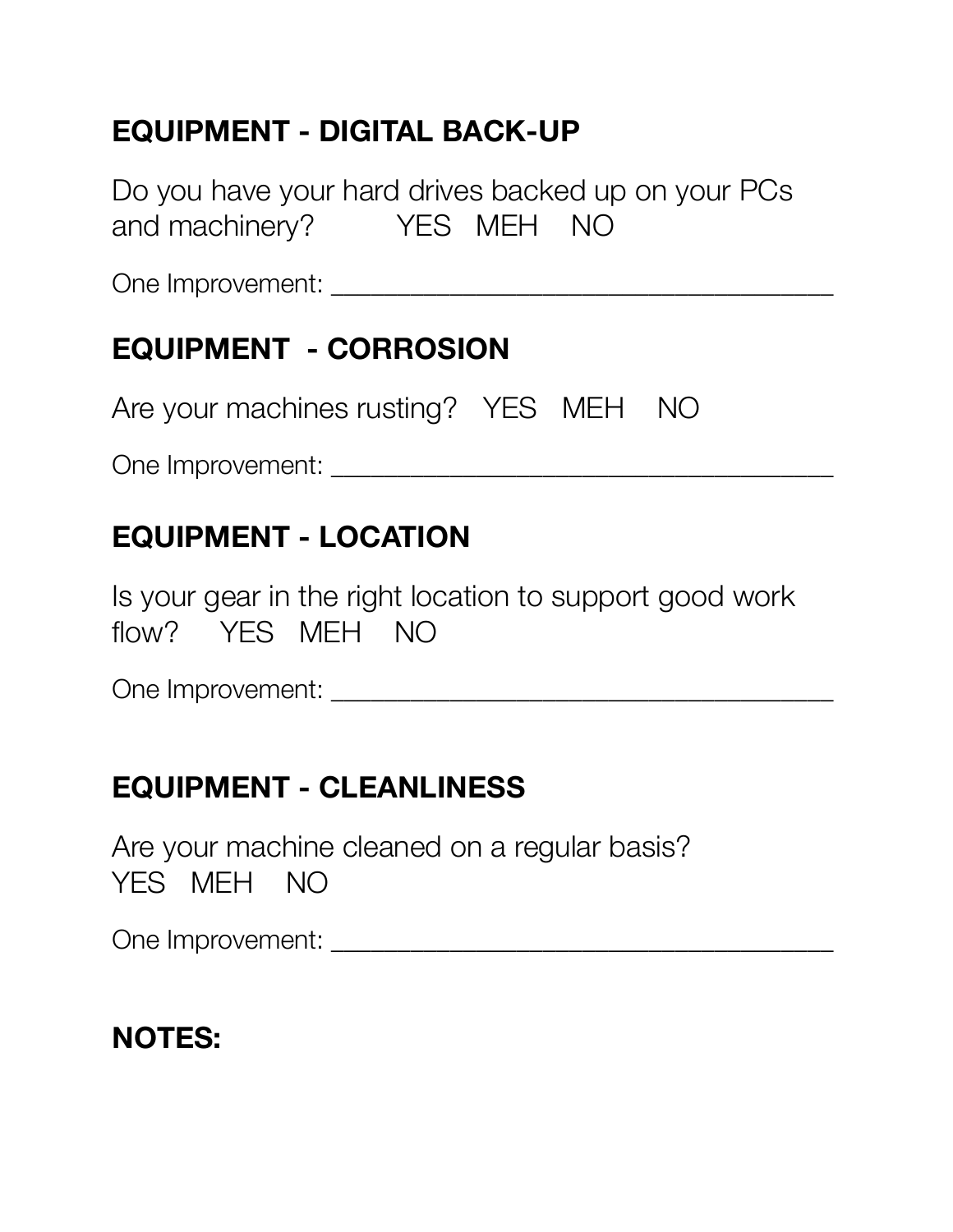# **EQUIPMENT - DIGITAL BACK-UP**

Do you have your hard drives backed up on your PCs and machinery? YES MEH NO

One Improvement: \_\_\_\_\_\_\_\_\_\_\_\_\_\_\_\_\_\_\_\_\_\_\_\_\_\_\_\_\_\_\_\_\_\_\_\_\_\_

# **EQUIPMENT - CORROSION**

Are your machines rusting? YES MEH NO

One Improvement: \_\_\_\_\_\_\_\_\_\_\_\_\_\_\_\_\_\_\_\_\_\_\_\_\_\_\_\_\_\_\_\_\_\_\_\_\_\_

### **EQUIPMENT - LOCATION**

Is your gear in the right location to support good work flow? YES MEH NO

One Improvement: \_\_\_\_\_\_\_\_\_\_\_\_\_\_\_\_\_\_\_\_\_\_\_\_\_\_\_\_\_\_\_\_\_\_\_\_\_\_

# **EQUIPMENT - CLEANLINESS**

Are your machine cleaned on a regular basis? YES MEH NO

One Improvement: \_\_\_\_\_\_\_\_\_\_\_\_\_\_\_\_\_\_\_\_\_\_\_\_\_\_\_\_\_\_\_\_\_\_\_\_\_\_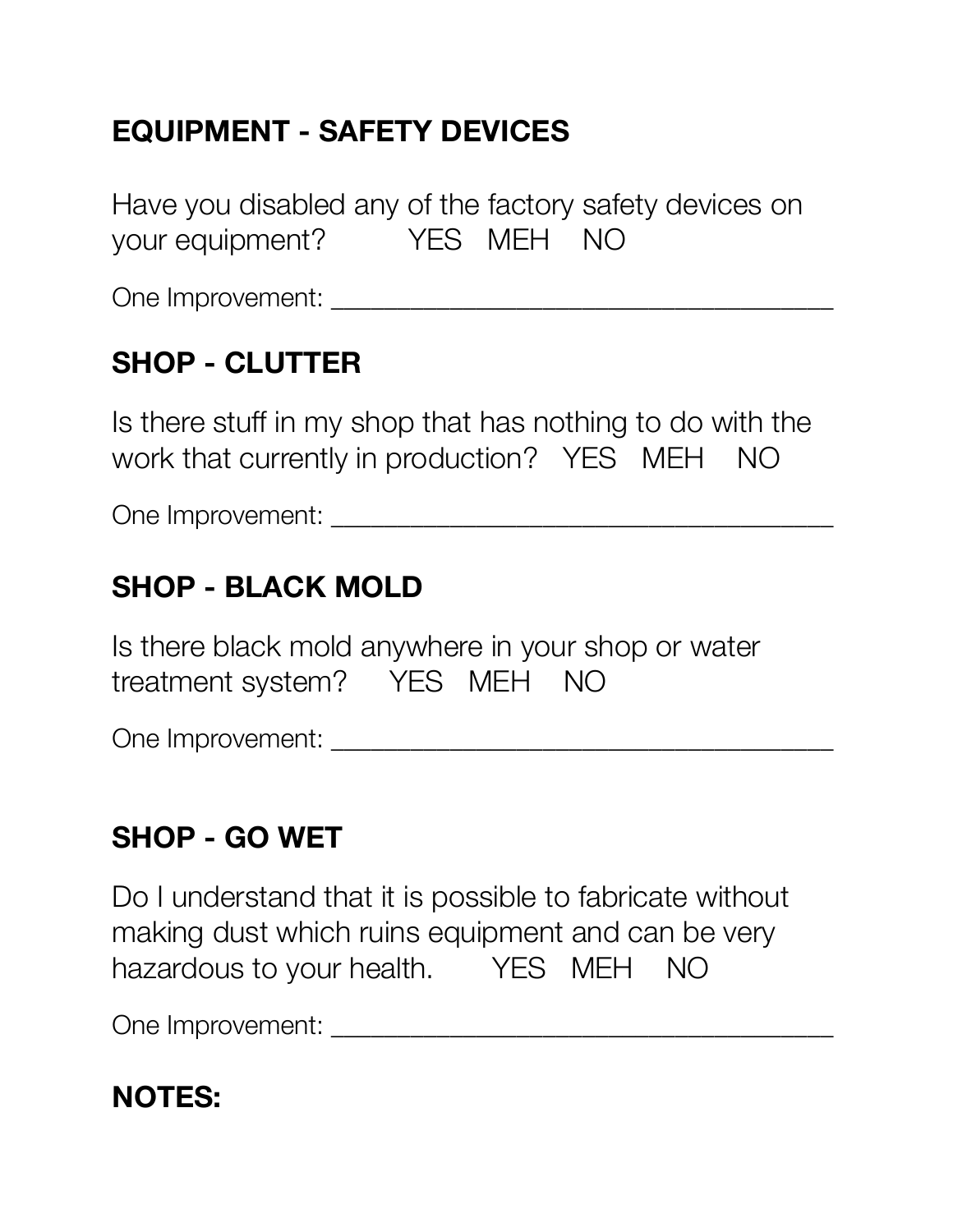# **EQUIPMENT - SAFETY DEVICES**

Have you disabled any of the factory safety devices on your equipment? YES MEH NO

One Improvement: \_\_\_\_\_\_\_\_\_\_\_\_\_\_\_\_\_\_\_\_\_\_\_\_\_\_\_\_\_\_\_\_\_\_\_\_\_\_

# **SHOP - CLUTTER**

Is there stuff in my shop that has nothing to do with the work that currently in production? YES MEH NO

One Improvement: \_\_\_\_\_\_\_\_\_\_\_\_\_\_\_\_\_\_\_\_\_\_\_\_\_\_\_\_\_\_\_\_\_\_\_\_\_\_

### **SHOP - BLACK MOLD**

Is there black mold anywhere in your shop or water treatment system? YES MEH NO

One Improvement: \_\_\_\_\_\_\_\_\_\_\_\_\_\_\_\_\_\_\_\_\_\_\_\_\_\_\_\_\_\_\_\_\_\_\_\_\_\_

#### **SHOP - GO WET**

Do I understand that it is possible to fabricate without making dust which ruins equipment and can be very hazardous to your health. YES MEH NO

One Improvement: \_\_\_\_\_\_\_\_\_\_\_\_\_\_\_\_\_\_\_\_\_\_\_\_\_\_\_\_\_\_\_\_\_\_\_\_\_\_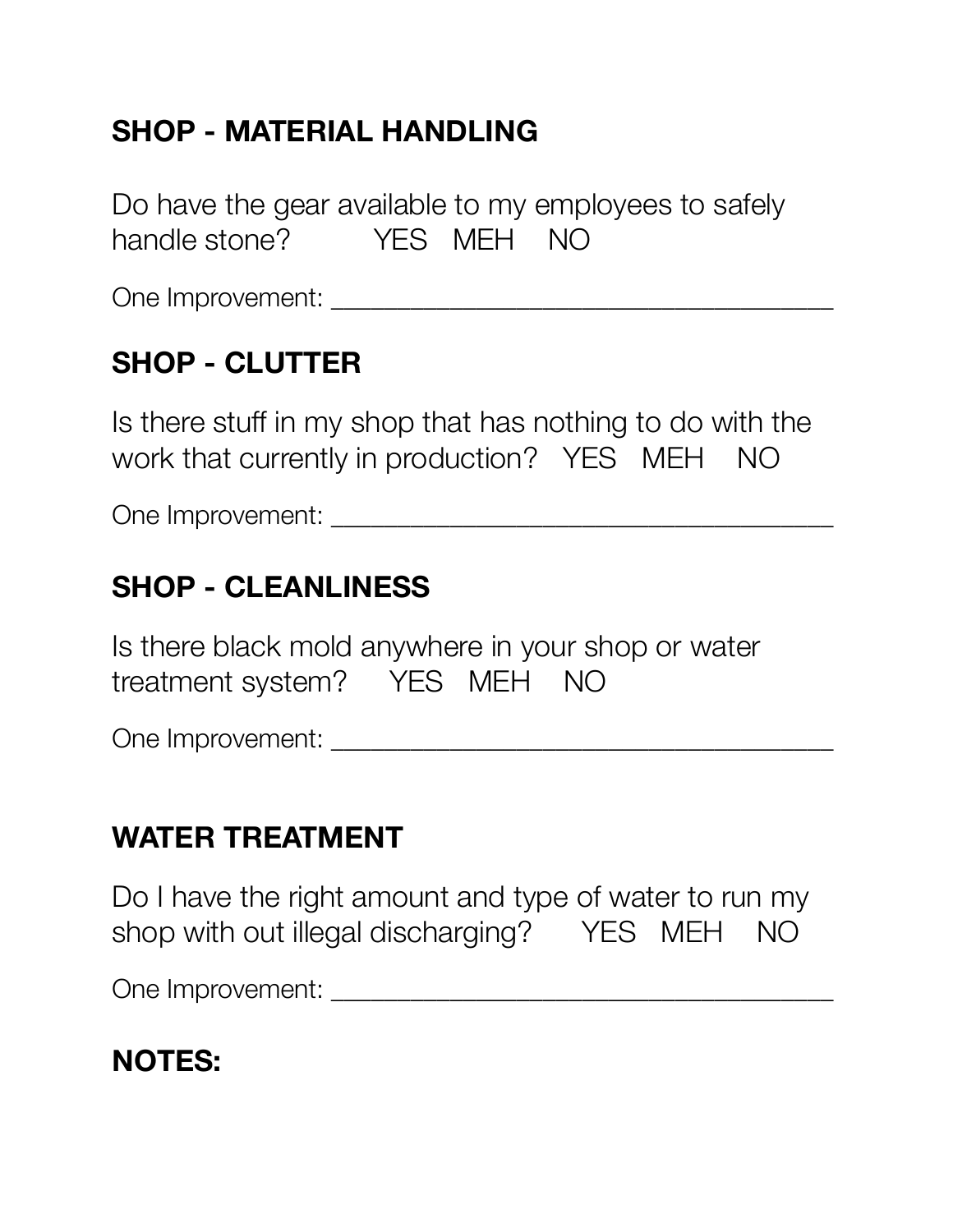# **SHOP - MATERIAL HANDLING**

Do have the gear available to my employees to safely handle stone? YFS MFH NO

One Improvement: \_\_\_\_\_\_\_\_\_\_\_\_\_\_\_\_\_\_\_\_\_\_\_\_\_\_\_\_\_\_\_\_\_\_\_\_\_\_

### **SHOP - CLUTTER**

Is there stuff in my shop that has nothing to do with the work that currently in production? YES MEH NO

One Improvement: \_\_\_\_\_\_\_\_\_\_\_\_\_\_\_\_\_\_\_\_\_\_\_\_\_\_\_\_\_\_\_\_\_\_\_\_\_\_

### **SHOP - CLEANLINESS**

Is there black mold anywhere in your shop or water treatment system? YES MEH NO

One Improvement: \_\_\_\_\_\_\_\_\_\_\_\_\_\_\_\_\_\_\_\_\_\_\_\_\_\_\_\_\_\_\_\_\_\_\_\_\_\_

#### **WATER TREATMENT**

Do I have the right amount and type of water to run my shop with out illegal discharging? YES MEH NO

One Improvement: \_\_\_\_\_\_\_\_\_\_\_\_\_\_\_\_\_\_\_\_\_\_\_\_\_\_\_\_\_\_\_\_\_\_\_\_\_\_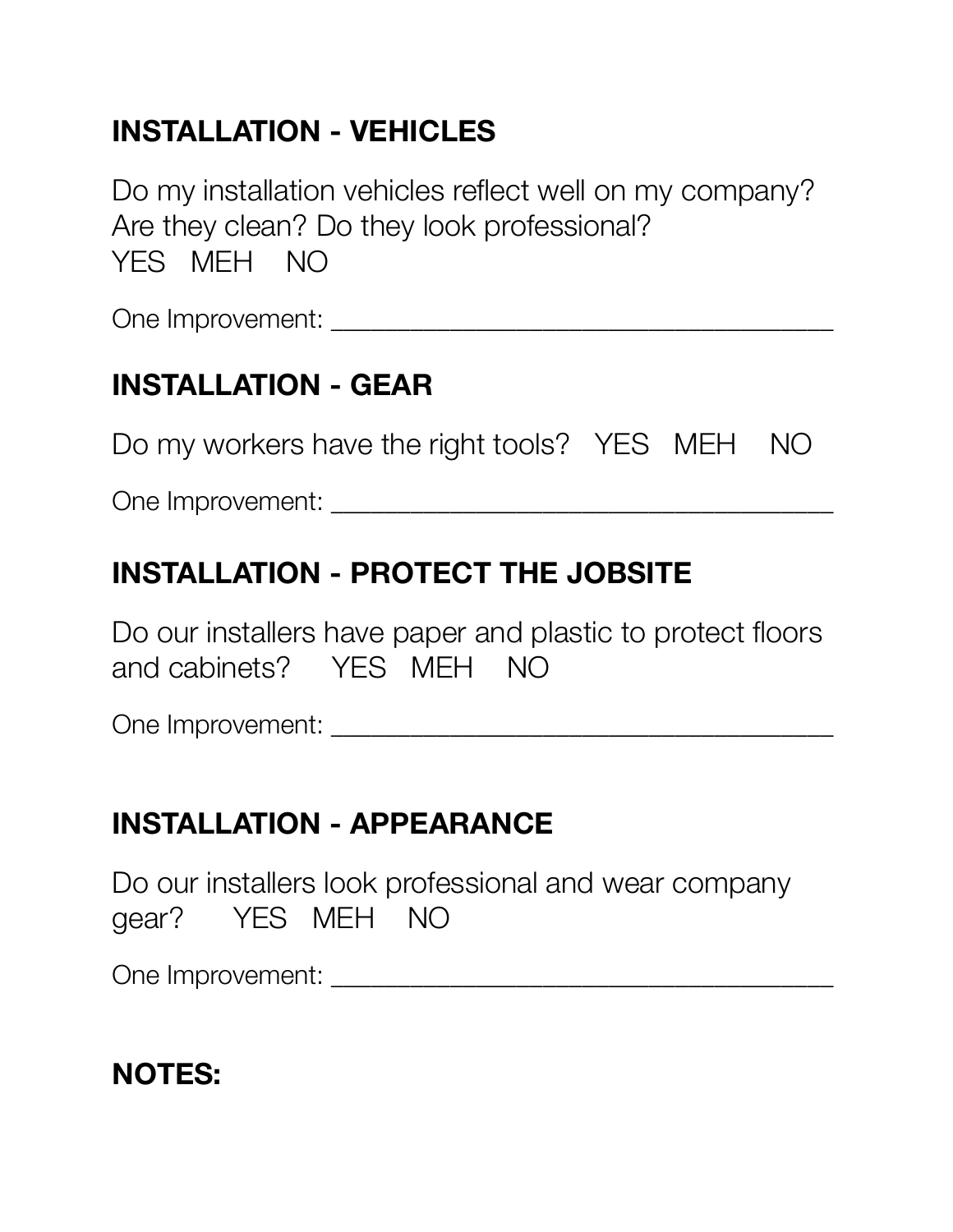# **INSTALLATION - VEHICLES**

Do my installation vehicles reflect well on my company? Are they clean? Do they look professional? YES MEH NO

One Improvement:  $\Box$ 

# **INSTALLATION - GEAR**

Do my workers have the right tools? YES MEH NO

One Improvement: \_\_\_\_\_\_\_\_\_\_\_\_\_\_\_\_\_\_\_\_\_\_\_\_\_\_\_\_\_\_\_\_\_\_\_\_\_\_

# **INSTALLATION - PROTECT THE JOBSITE**

Do our installers have paper and plastic to protect floors and cabinets? YES MEH NO

One Improvement: \_\_\_\_\_\_\_\_\_\_\_\_\_\_\_\_\_\_\_\_\_\_\_\_\_\_\_\_\_\_\_\_\_\_\_\_\_\_

#### **INSTALLATION - APPEARANCE**

Do our installers look professional and wear company gear? YES MEH NO

One Improvement: \_\_\_\_\_\_\_\_\_\_\_\_\_\_\_\_\_\_\_\_\_\_\_\_\_\_\_\_\_\_\_\_\_\_\_\_\_\_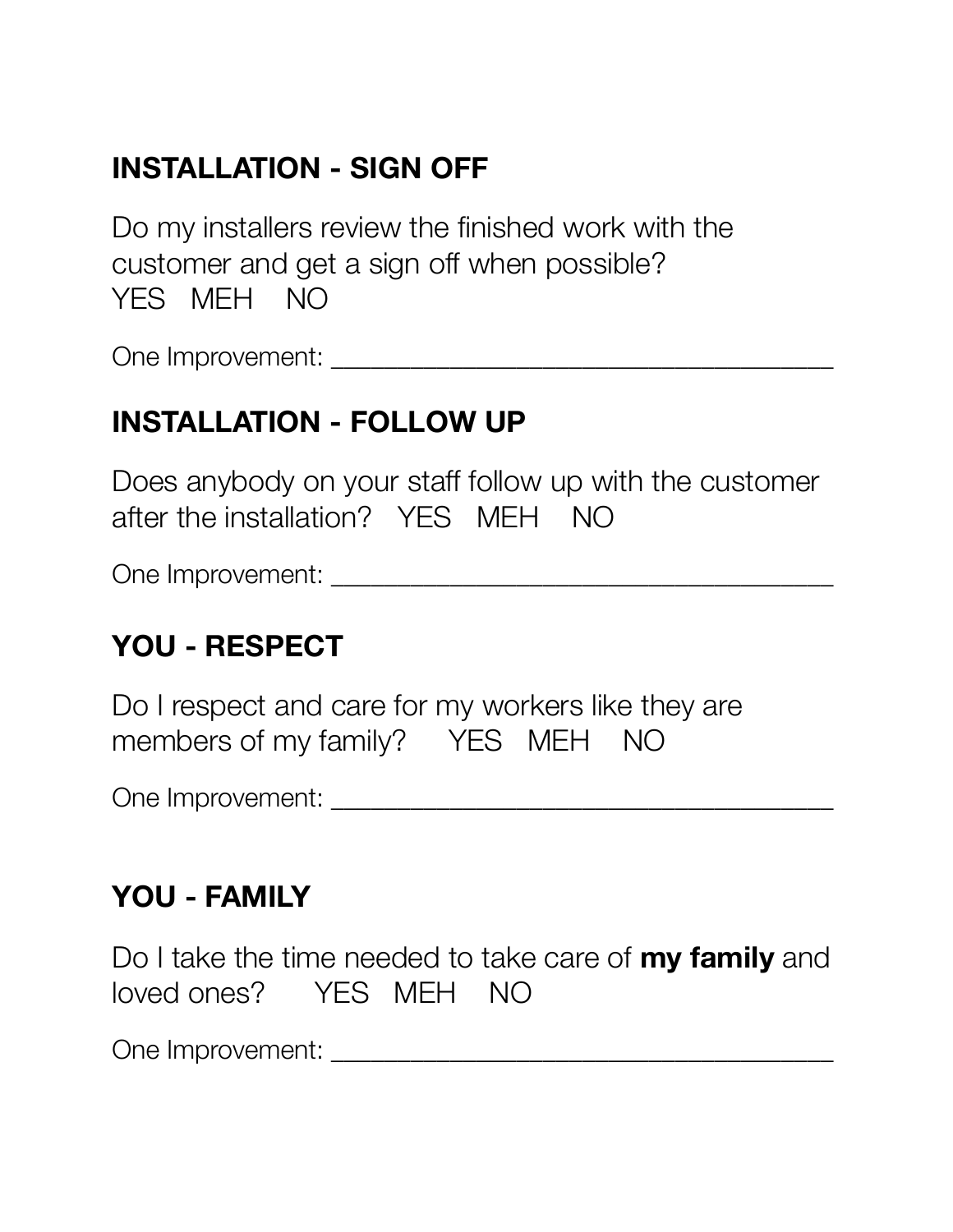# **INSTALLATION - SIGN OFF**

Do my installers review the finished work with the customer and get a sign off when possible? YES MEH NO

One Improvement: \_\_\_\_\_\_\_\_\_\_\_\_\_\_\_\_\_\_\_\_\_\_\_\_\_\_\_\_\_\_\_\_\_\_\_\_\_\_

#### **INSTALLATION - FOLLOW UP**

Does anybody on your staff follow up with the customer after the installation? YES MEH NO

One Improvement: \_\_\_\_\_\_\_\_\_\_\_\_\_\_\_\_\_\_\_\_\_\_\_\_\_\_\_\_\_\_\_\_\_\_\_\_\_\_

### **YOU - RESPECT**

Do I respect and care for my workers like they are members of my family? YES MEH NO

One Improvement: \_\_\_\_\_\_\_\_\_\_\_\_\_\_\_\_\_\_\_\_\_\_\_\_\_\_\_\_\_\_\_\_\_\_\_\_\_\_

#### **YOU - FAMILY**

Do I take the time needed to take care of **my family** and loved ones? YES MEH NO